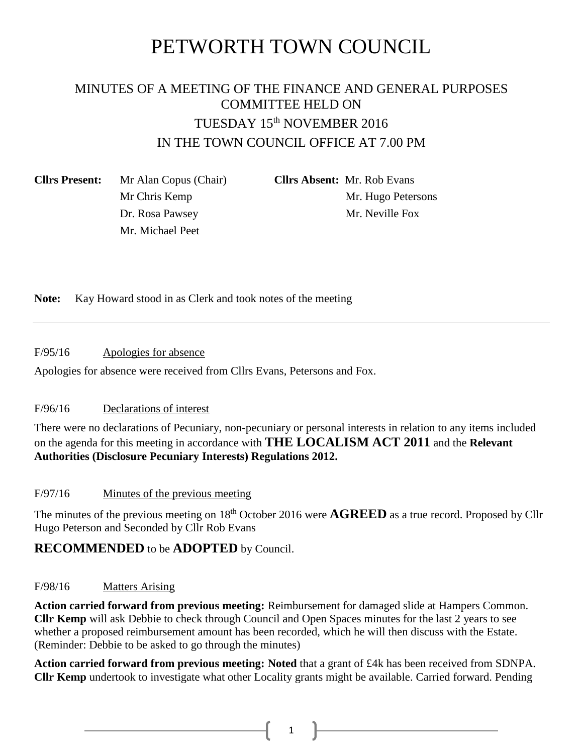# PETWORTH TOWN COUNCIL

# MINUTES OF A MEETING OF THE FINANCE AND GENERAL PURPOSES COMMITTEE HELD ON TUESDAY 15<sup>th</sup> NOVEMBER 2016 IN THE TOWN COUNCIL OFFICE AT 7.00 PM

**Cllrs Present:** Mr Alan Copus (Chair) **Cllrs Absent:** Mr. Rob Evans Mr. Michael Peet

Mr Chris Kemp Mr. Hugo Petersons Dr. Rosa Pawsey Mr. Neville Fox

**Note:** Kay Howard stood in as Clerk and took notes of the meeting

F/95/16 Apologies for absence

Apologies for absence were received from Cllrs Evans, Petersons and Fox.

# F/96/16 Declarations of interest

There were no declarations of Pecuniary, non-pecuniary or personal interests in relation to any items included on the agenda for this meeting in accordance with **THE LOCALISM ACT 2011** and the **Relevant Authorities (Disclosure Pecuniary Interests) Regulations 2012.**

# F/97/16 Minutes of the previous meeting

The minutes of the previous meeting on 18<sup>th</sup> October 2016 were **AGREED** as a true record. Proposed by Cllr Hugo Peterson and Seconded by Cllr Rob Evans

# **RECOMMENDED** to be **ADOPTED** by Council.

# F/98/16 Matters Arising

**Action carried forward from previous meeting:** Reimbursement for damaged slide at Hampers Common. **Cllr Kemp** will ask Debbie to check through Council and Open Spaces minutes for the last 2 years to see whether a proposed reimbursement amount has been recorded, which he will then discuss with the Estate. (Reminder: Debbie to be asked to go through the minutes)

**Action carried forward from previous meeting: Noted** that a grant of £4k has been received from SDNPA. **Cllr Kemp** undertook to investigate what other Locality grants might be available. Carried forward. Pending

 $1 \quad \blacksquare$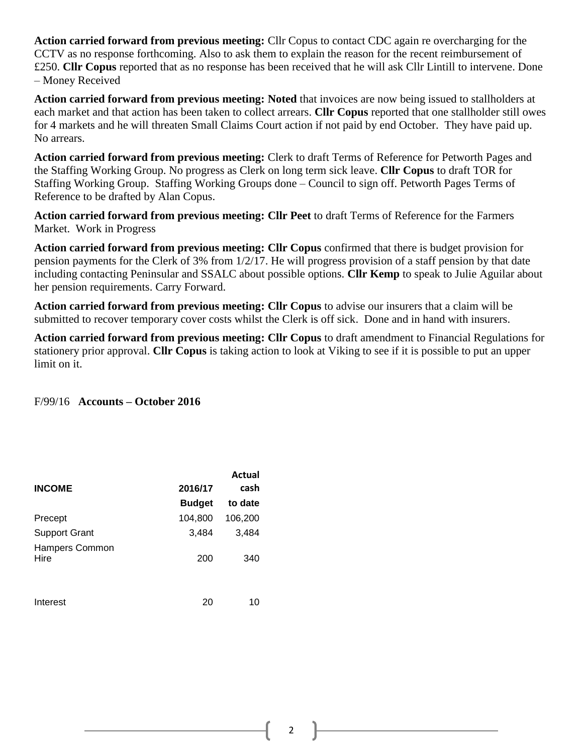**Action carried forward from previous meeting:** Cllr Copus to contact CDC again re overcharging for the CCTV as no response forthcoming. Also to ask them to explain the reason for the recent reimbursement of £250. **Cllr Copus** reported that as no response has been received that he will ask Cllr Lintill to intervene. Done – Money Received

**Action carried forward from previous meeting: Noted** that invoices are now being issued to stallholders at each market and that action has been taken to collect arrears. **Cllr Copus** reported that one stallholder still owes for 4 markets and he will threaten Small Claims Court action if not paid by end October. They have paid up. No arrears.

**Action carried forward from previous meeting:** Clerk to draft Terms of Reference for Petworth Pages and the Staffing Working Group. No progress as Clerk on long term sick leave. **Cllr Copus** to draft TOR for Staffing Working Group. Staffing Working Groups done – Council to sign off. Petworth Pages Terms of Reference to be drafted by Alan Copus.

**Action carried forward from previous meeting: Cllr Peet** to draft Terms of Reference for the Farmers Market. Work in Progress

**Action carried forward from previous meeting: Cllr Copus** confirmed that there is budget provision for pension payments for the Clerk of 3% from 1/2/17. He will progress provision of a staff pension by that date including contacting Peninsular and SSALC about possible options. **Cllr Kemp** to speak to Julie Aguilar about her pension requirements. Carry Forward.

**Action carried forward from previous meeting: Cllr Copus** to advise our insurers that a claim will be submitted to recover temporary cover costs whilst the Clerk is off sick. Done and in hand with insurers.

**Action carried forward from previous meeting: Cllr Copus** to draft amendment to Financial Regulations for stationery prior approval. **Cllr Copus** is taking action to look at Viking to see if it is possible to put an upper limit on it.

F/99/16 **Accounts – October 2016**

| <b>INCOME</b>          | 2016/17       | Actual<br>cash |
|------------------------|---------------|----------------|
|                        | <b>Budget</b> | to date        |
| Precept                | 104,800       | 106,200        |
| <b>Support Grant</b>   | 3,484         | 3,484          |
| Hampers Common<br>Hire | 200           | 340            |
| Interest               | 20            | 10             |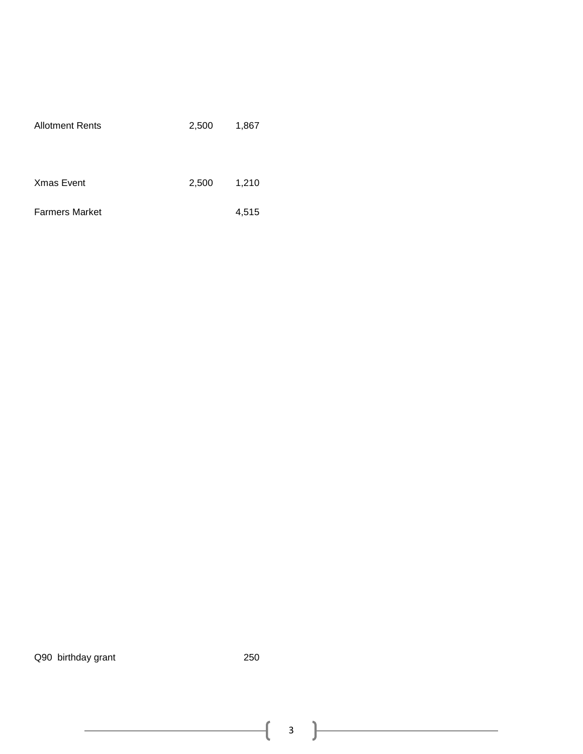| <b>Allotment Rents</b> | 2,500 | 1,867 |
|------------------------|-------|-------|
| <b>Xmas Event</b>      | 2,500 | 1,210 |
| <b>Farmers Market</b>  |       | 4,515 |

Q90 birthday grant 250

3

ſ

<u> 1980 - Johann Barbara, martin a</u>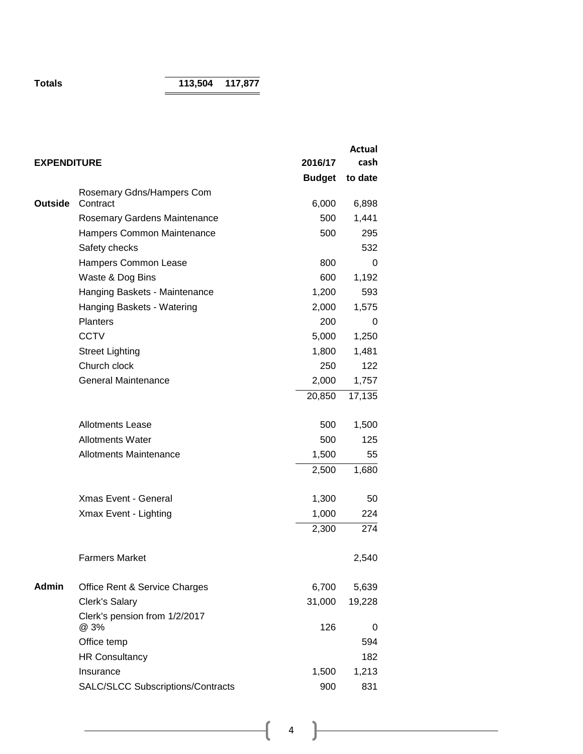**Totals 113,504 117,877**

|                    |                                          |               | Actual  |
|--------------------|------------------------------------------|---------------|---------|
| <b>EXPENDITURE</b> |                                          | 2016/17       | cash    |
|                    |                                          | <b>Budget</b> | to date |
|                    | Rosemary Gdns/Hampers Com                |               |         |
| <b>Outside</b>     | Contract                                 | 6,000         | 6,898   |
|                    | Rosemary Gardens Maintenance             | 500           | 1,441   |
|                    | Hampers Common Maintenance               | 500           | 295     |
|                    | Safety checks                            |               | 532     |
|                    | Hampers Common Lease                     | 800           | 0       |
|                    | Waste & Dog Bins                         | 600           | 1,192   |
|                    | Hanging Baskets - Maintenance            | 1,200         | 593     |
|                    | Hanging Baskets - Watering               | 2,000         | 1,575   |
|                    | <b>Planters</b>                          | 200           | 0       |
|                    | <b>CCTV</b>                              | 5,000         | 1,250   |
|                    | <b>Street Lighting</b>                   | 1,800         | 1,481   |
|                    | Church clock                             | 250           | 122     |
|                    | <b>General Maintenance</b>               | 2,000         | 1,757   |
|                    |                                          | 20,850        | 17,135  |
|                    | <b>Allotments Lease</b>                  | 500           | 1,500   |
|                    | <b>Allotments Water</b>                  | 500           | 125     |
|                    | <b>Allotments Maintenance</b>            | 1,500         | 55      |
|                    |                                          | 2,500         | 1,680   |
|                    | <b>Xmas Event - General</b>              | 1,300         | 50      |
|                    | Xmax Event - Lighting                    | 1,000         | 224     |
|                    |                                          | 2,300         | 274     |
|                    | <b>Farmers Market</b>                    |               | 2,540   |
| <b>Admin</b>       | Office Rent & Service Charges            | 6,700         | 5,639   |
|                    | <b>Clerk's Salary</b>                    | 31,000        | 19,228  |
|                    | Clerk's pension from 1/2/2017<br>@ 3%    | 126           | 0       |
|                    | Office temp                              |               | 594     |
|                    | <b>HR Consultancy</b>                    |               | 182     |
|                    | Insurance                                | 1,500         | 1,213   |
|                    | <b>SALC/SLCC Subscriptions/Contracts</b> | 900           | 831     |
|                    |                                          |               |         |

 $\begin{tabular}{|c|c|c|c|c|} \hline & $4$ & $\color{blue} $ & $\color{blue} $ & $\color{blue} $ \\ \hline \end{tabular}$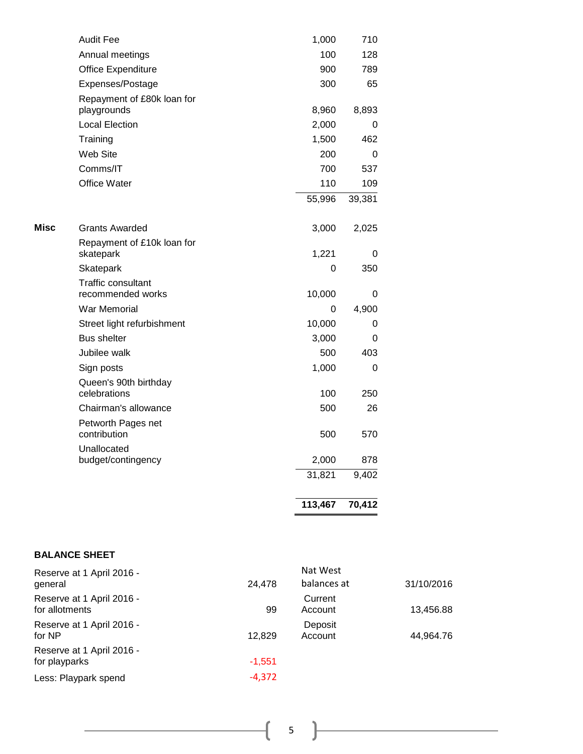|      |                                                | 113,467 | 70,412 |
|------|------------------------------------------------|---------|--------|
|      |                                                | 31,821  | 9,402  |
|      | Unallocated<br>budget/contingency              | 2,000   | 878    |
|      | contribution                                   | 500     | 570    |
|      | Petworth Pages net                             |         |        |
|      | Chairman's allowance                           | 500     | 26     |
|      | Queen's 90th birthday<br>celebrations          | 100     | 250    |
|      | Sign posts                                     | 1,000   | 0      |
|      | Jubilee walk                                   | 500     | 403    |
|      | <b>Bus shelter</b>                             | 3,000   | 0      |
|      | Street light refurbishment                     | 10,000  | 0      |
|      | <b>War Memorial</b>                            | 0       | 4,900  |
|      | <b>Traffic consultant</b><br>recommended works | 10,000  | 0      |
|      | Skatepark                                      | 0       | 350    |
|      | Repayment of £10k loan for<br>skatepark        | 1,221   | 0      |
| Misc | <b>Grants Awarded</b>                          | 3,000   | 2,025  |
|      |                                                | 55,996  | 39,381 |
|      | Office Water                                   | 110     | 109    |
|      | Comms/IT                                       | 700     | 537    |
|      | Web Site                                       | 200     | 0      |
|      | Training                                       | 1,500   | 462    |
|      | <b>Local Election</b>                          | 2,000   | 0      |
|      | Repayment of £80k loan for<br>playgrounds      | 8,960   | 8,893  |
|      | Expenses/Postage                               | 300     | 65     |
|      | Office Expenditure                             | 900     | 789    |
|      | Annual meetings                                | 100     | 128    |
|      | <b>Audit Fee</b>                               | 1,000   | 710    |

#### **BALANCE SHEET**

| Reserve at 1 April 2016 -<br>general        | 24,478   | Nat West<br>balances at | 31/10/2016 |
|---------------------------------------------|----------|-------------------------|------------|
| Reserve at 1 April 2016 -<br>for allotments | 99       | Current<br>Account      | 13,456.88  |
| Reserve at 1 April 2016 -<br>for NP         | 12.829   | Deposit<br>Account      | 44.964.76  |
| Reserve at 1 April 2016 -<br>for playparks  | $-1.551$ |                         |            |
| Less: Playpark spend                        | $-4,372$ |                         |            |

 $\overline{\mathcal{A}}$ 

 $\equiv$ 

 $\overline{\phantom{a}}$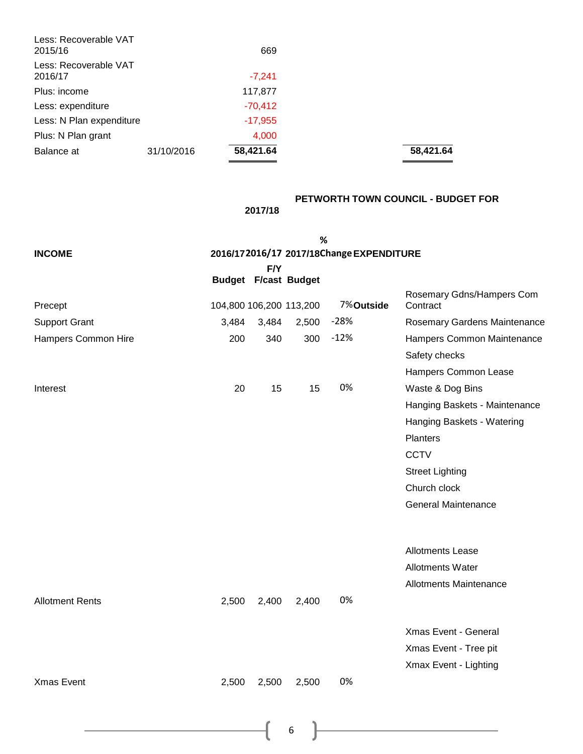| Less: Recoverable VAT<br>2015/16 |            | 669       |  |
|----------------------------------|------------|-----------|--|
| Less: Recoverable VAT<br>2016/17 |            | $-7,241$  |  |
| Plus: income                     |            | 117,877   |  |
| Less: expenditure                |            | $-70,412$ |  |
| Less: N Plan expenditure         |            | $-17,955$ |  |
| Plus: N Plan grant               |            | 4,000     |  |
| Balance at                       | 31/10/2016 | 58,421.64 |  |

**2017/18**

# **PETWORTH TOWN COUNCIL - BUDGET FOR**

Balance at 31/10/2016 **58,421.64 58,421.64**

|                        |                             |       | %     |                                          |                               |
|------------------------|-----------------------------|-------|-------|------------------------------------------|-------------------------------|
| <b>INCOME</b>          |                             |       |       | 2016/172016/17 2017/18Change EXPENDITURE |                               |
|                        | <b>Budget F/cast Budget</b> | F/Y   |       |                                          |                               |
|                        |                             |       |       |                                          | Rosemary Gdns/Hampers Com     |
| Precept                | 104,800 106,200 113,200     |       |       | 7%Outside                                | Contract                      |
| <b>Support Grant</b>   | 3,484                       | 3,484 | 2,500 | $-28%$                                   | Rosemary Gardens Maintenance  |
| Hampers Common Hire    | 200                         | 340   | 300   | $-12%$                                   | Hampers Common Maintenance    |
|                        |                             |       |       |                                          | Safety checks                 |
|                        |                             |       |       |                                          | Hampers Common Lease          |
| Interest               | 20                          | 15    | 15    | 0%                                       | Waste & Dog Bins              |
|                        |                             |       |       |                                          | Hanging Baskets - Maintenance |
|                        |                             |       |       |                                          | Hanging Baskets - Watering    |
|                        |                             |       |       |                                          | Planters                      |
|                        |                             |       |       |                                          | <b>CCTV</b>                   |
|                        |                             |       |       |                                          | <b>Street Lighting</b>        |
|                        |                             |       |       |                                          | Church clock                  |
|                        |                             |       |       |                                          | <b>General Maintenance</b>    |
|                        |                             |       |       |                                          |                               |
|                        |                             |       |       |                                          |                               |
|                        |                             |       |       |                                          | Allotments Lease              |
|                        |                             |       |       |                                          | Allotments Water              |
|                        |                             |       |       |                                          | <b>Allotments Maintenance</b> |
| <b>Allotment Rents</b> | 2,500                       | 2,400 | 2,400 | 0%                                       |                               |
|                        |                             |       |       |                                          |                               |
|                        |                             |       |       |                                          | Xmas Event - General          |
|                        |                             |       |       |                                          | Xmas Event - Tree pit         |
|                        |                             |       |       |                                          | Xmax Event - Lighting         |
| <b>Xmas Event</b>      | 2,500                       | 2,500 | 2,500 | 0%                                       |                               |
|                        |                             |       |       |                                          |                               |

6

 $\overline{\mathcal{A}}$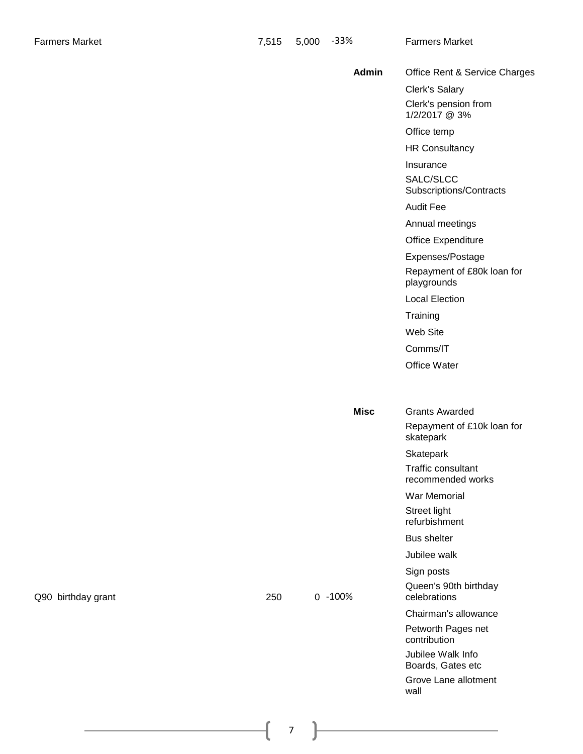|    | <b>Admin</b> | Office Rent & Service Charges                       |  |
|----|--------------|-----------------------------------------------------|--|
|    |              | Clerk's Salary                                      |  |
|    |              | Clerk's pension from<br>1/2/2017 @ 3%               |  |
|    |              | Office temp                                         |  |
|    |              | <b>HR Consultancy</b>                               |  |
|    |              | Insurance                                           |  |
|    |              | SALC/SLCC<br>Subscriptions/Contracts                |  |
|    |              | <b>Audit Fee</b>                                    |  |
|    |              | Annual meetings                                     |  |
|    |              | Office Expenditure                                  |  |
|    |              | Expenses/Postage                                    |  |
|    |              | Repayment of £80k loan for<br>playgrounds           |  |
|    |              | <b>Local Election</b>                               |  |
|    |              | Training                                            |  |
|    |              | Web Site                                            |  |
|    |              | Comms/IT                                            |  |
|    |              | Office Water                                        |  |
|    |              |                                                     |  |
|    | <b>Misc</b>  | <b>Grants Awarded</b>                               |  |
|    |              | Repayment of £10k loan for<br>skatepark             |  |
|    |              | Skatepark                                           |  |
|    |              | Traffic consultant<br>recommended works             |  |
|    |              | War Memorial                                        |  |
|    |              | Street light<br>refurbishment                       |  |
|    |              | Bus shelter                                         |  |
|    |              | Jubilee walk                                        |  |
| 50 | $0 - 100\%$  | Sign posts<br>Queen's 90th birthday<br>celebrations |  |
|    |              | Chairman's allowance                                |  |
|    |              | Petworth Pages net<br>contribution                  |  |
|    |              | Jubilee Walk Info<br>Boards, Gates etc              |  |
|    |              | Grove Lane allotment<br>wall                        |  |

Q90 birthday grant 250 0 -100%

 $\mathfrak{f}% _{0}$